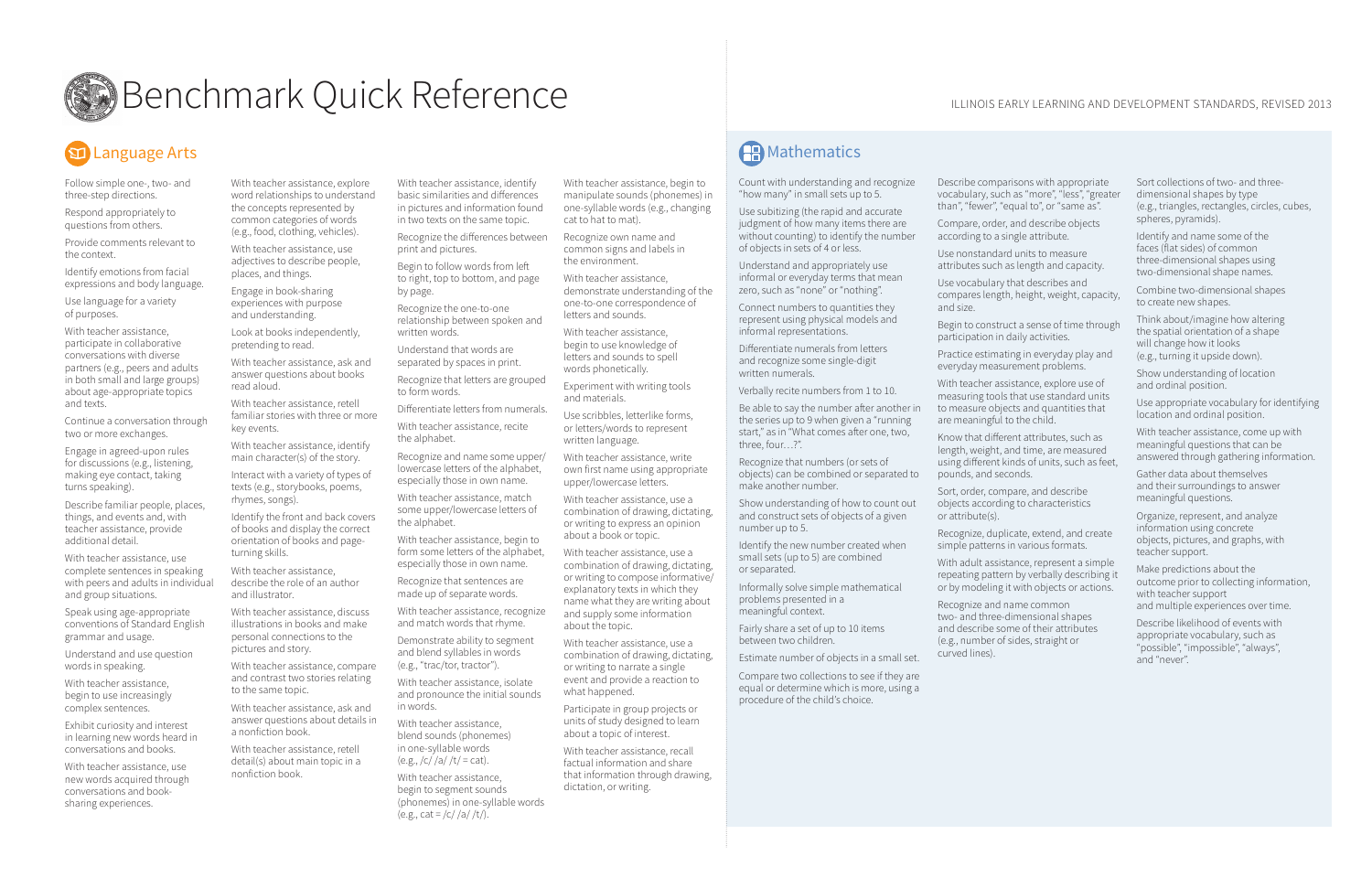

# **Benchmark Quick Reference**

#### **M** Language Arts

Follow simple one-, two- and three-step directions.

Respond appropriately to questions from others.

Provide comments relevant to the context.

Identify emotions from facial expressions and body language.

Use language for a variety of purposes.

With teacher assistance, participate in collaborative conversations with diverse partners (e.g., peers and adults in both small and large groups) about age-appropriate topics and texts.

Continue a conversation through two or more exchanges.

Engage in agreed-upon rules for discussions (e.g., listening, making eye contact, taking turns speaking).

Describe familiar people, places, things, and events and, with teacher assistance, provide additional detail.

With teacher assistance, use complete sentences in speaking with peers and adults in individual and group situations.

Speak using age-appropriate conventions of Standard English grammar and usage.

Understand and use question words in speaking.

With teacher assistance, begin to use increasingly complex sentences.

Exhibit curiosity and interest in learning new words heard in conversations and books.

With teacher assistance, use new words acquired through conversations and booksharing experiences.

Recognize the differences between print and pictures.

With teacher assistance, explore word relationships to understand the concepts represented by common categories of words (e.g., food, clothing, vehicles).

With teacher assistance, use adjectives to describe people, places, and things.

Engage in book-sharing experiences with purpose and understanding.

Look at books independently, pretending to read.

With teacher assistance, ask and answer questions about books read aloud.

With teacher assistance, retell familiar stories with three or more key events.

> With teacher assistance, blend sounds (phonemes) in one-syllable words  $(e.g., /c/ /a/ /t/ = cat).$

With teacher assistance, identify main character(s) of the story.

> With teacher assistance, begin to segment sounds (phonemes) in one-syllable words  $(e.g., cat = /c/ /a/ /t).$

Interact with a variety of types of texts (e.g., storybooks, poems, rhymes, songs).

Identify the front and back covers of books and display the correct orientation of books and pageturning skills.

With teacher assistance, describe the role of an author and illustrator.

With teacher assistance, discuss illustrations in books and make personal connections to the pictures and story.

With teacher assistance, compare and contrast two stories relating to the same topic.

With teacher assistance, ask and answer questions about details in a nonfiction book.

With teacher assistance, retell detail(s) about main topic in a nonfiction book.

With teacher assistance, identify basic similarities and differences in pictures and information found in two texts on the same topic.

Begin to follow words from left to right, top to bottom, and page by page.

Recognize the one-to-one relationship between spoken and written words.

Understand that words are separated by spaces in print. Differentiate numerals from letters and recognize some single-digit written numerals.

Recognize that letters are grouped to form words.

Differentiate letters from numerals.

Be able to say the number after another in the series up to 9 when given a "running start," as in "What comes after one, two, three, four…?".

With teacher assistance, recite the alphabet.

Recognize and name some upper/ lowercase letters of the alphabet, especially those in own name.

With teacher assistance, match some upper/lowercase letters of the alphabet.

With teacher assistance, begin to form some letters of the alphabet, especially those in own name.

Recognize that sentences are made up of separate words.

With teacher assistance, recognize and match words that rhyme.

Demonstrate ability to segment and blend syllables in words (e.g., "trac/tor, tractor").

With teacher assistance, isolate and pronounce the initial sounds in words.

Know that different attributes, such as length, weight, and time, are measured using different kinds of units, such as feet, pounds, and seconds.

With teacher assistance, begin to manipulate sounds (phonemes) in one-syllable words (e.g., changing cat to hat to mat).

Recognize own name and common signs and labels in the environment.

With teacher assistance, demonstrate understanding of the one-to-one correspondence of letters and sounds.

With teacher assistance, begin to use knowledge of letters and sounds to spell words phonetically.

Experiment with writing tools and materials.

Use scribbles, letterlike forms, or letters/words to represent written language.

With teacher assistance, write own first name using appropriate upper/lowercase letters.

With teacher assistance, use a combination of drawing, dictating, or writing to express an opinion about a book or topic.

With teacher assistance, use a combination of drawing, dictating, or writing to compose informative/ explanatory texts in which they name what they are writing about and supply some information about the topic.

With teacher assistance, use a combination of drawing, dictating, or writing to narrate a single event and provide a reaction to what happened.

Participate in group projects or units of study designed to learn about a topic of interest.

With teacher assistance, recall factual information and share that information through drawing, dictation, or writing.

# **H** Mathematics

#### ILLINOIS EARLY LEARNING AND DEVELOPMENT STANDARDS, REVISED 2013

Count with understanding and recognize "how many" in small sets up to 5.

Use subitizing (the rapid and accurate judgment of how many items there are without counting) to identify the number of objects in sets of 4 or less.

Understand and appropriately use informal or everyday terms that mean zero, such as "none" or "nothing".

Connect numbers to quantities they represent using physical models and informal representations.

Verbally recite numbers from 1 to 10.

Recognize that numbers (or sets of objects) can be combined or separated to make another number.

Show understanding of how to count out and construct sets of objects of a given number up to 5.

Identify the new number created when small sets (up to 5) are combined or separated.

Informally solve simple mathematical problems presented in a meaningful context.

Fairly share a set of up to 10 items between two children.

Estimate number of objects in a small set.

Compare two collections to see if they are equal or determine which is more, using a procedure of the child's choice.

Describe comparisons with appropriate vocabulary, such as "more", "less", "greater than", "fewer", "equal to", or "same as".

Compare, order, and describe objects according to a single attribute.

Use nonstandard units to measure attributes such as length and capacity.

Use vocabulary that describes and compares length, height, weight, capacity,

and size.

Begin to construct a sense of time through participation in daily activities.

Practice estimating in everyday play and everyday measurement problems.

With teacher assistance, explore use of measuring tools that use standard units to measure objects and quantities that are meaningful to the child.

Sort, order, compare, and describe objects according to characteristics or attribute(s).

Recognize, duplicate, extend, and create simple patterns in various formats.

With adult assistance, represent a simple repeating pattern by verbally describing it or by modeling it with objects or actions.

Recognize and name common two- and three-dimensional shapes and describe some of their attributes (e.g., number of sides, straight or curved lines).

Sort collections of two- and threedimensional shapes by type (e.g., triangles, rectangles, circles, cubes, spheres, pyramids).

Identify and name some of the faces (flat sides) of common three-dimensional shapes using two-dimensional shape names.

Combine two-dimensional shapes to create new shapes.

Think about/imagine how altering the spatial orientation of a shape will change how it looks (e.g., turning it upside down).

Show understanding of location and ordinal position.

Use appropriate vocabulary for identifying location and ordinal position.

With teacher assistance, come up with meaningful questions that can be answered through gathering information.

Gather data about themselves and their surroundings to answer meaningful questions.

Organize, represent, and analyze information using concrete objects, pictures, and graphs, with teacher support.

Make predictions about the outcome prior to collecting information, with teacher support and multiple experiences over time.

Describe likelihood of events with appropriate vocabulary, such as "possible", "impossible", "always", and "never".